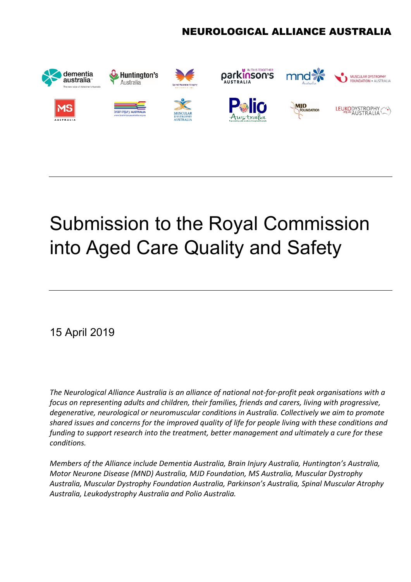# NEUROLOGICAL ALLIANCE AUSTRALIA



# Submission to the Royal Commission into Aged Care Quality and Safety

15 April 2019

*The Neurological Alliance Australia is an alliance of national not-for-profit peak organisations with a focus on representing adults and children, their families, friends and carers, living with progressive, degenerative, neurological or neuromuscular conditions in Australia. Collectively we aim to promote shared issues and concerns for the improved quality of life for people living with these conditions and funding to support research into the treatment, better management and ultimately a cure for these conditions.*

*Members of the Alliance include Dementia Australia, Brain Injury Australia, Huntington's Australia, Motor Neurone Disease (MND) Australia, MJD Foundation, MS Australia, Muscular Dystrophy Australia, Muscular Dystrophy Foundation Australia, Parkinson's Australia, Spinal Muscular Atrophy Australia, Leukodystrophy Australia and Polio Australia.*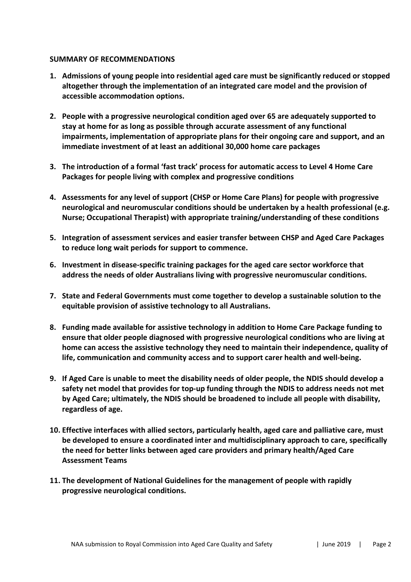# **SUMMARY OF RECOMMENDATIONS**

- **1. Admissions of young people into residential aged care must be significantly reduced or stopped altogether through the implementation of an integrated care model and the provision of accessible accommodation options.**
- **2. People with a progressive neurological condition aged over 65 are adequately supported to stay at home for as long as possible through accurate assessment of any functional impairments, implementation of appropriate plans for their ongoing care and support, and an immediate investment of at least an additional 30,000 home care packages**
- **3. The introduction of a formal 'fast track' process for automatic access to Level 4 Home Care Packages for people living with complex and progressive conditions**
- **4. Assessments for any level of support (CHSP or Home Care Plans) for people with progressive neurological and neuromuscular conditions should be undertaken by a health professional (e.g. Nurse; Occupational Therapist) with appropriate training/understanding of these conditions**
- **5. Integration of assessment services and easier transfer between CHSP and Aged Care Packages to reduce long wait periods for support to commence.**
- **6. Investment in disease-specific training packages for the aged care sector workforce that address the needs of older Australians living with progressive neuromuscular conditions.**
- **7. State and Federal Governments must come together to develop a sustainable solution to the equitable provision of assistive technology to all Australians.**
- **8. Funding made available for assistive technology in addition to Home Care Package funding to ensure that older people diagnosed with progressive neurological conditions who are living at home can access the assistive technology they need to maintain their independence, quality of life, communication and community access and to support carer health and well-being.**
- **9. If Aged Care is unable to meet the disability needs of older people, the NDIS should develop a safety net model that provides for top-up funding through the NDIS to address needs not met by Aged Care; ultimately, the NDIS should be broadened to include all people with disability, regardless of age.**
- **10. Effective interfaces with allied sectors, particularly health, aged care and palliative care, must be developed to ensure a coordinated inter and multidisciplinary approach to care, specifically the need for better links between aged care providers and primary health/Aged Care Assessment Teams**
- **11. The development of National Guidelines for the management of people with rapidly progressive neurological conditions.**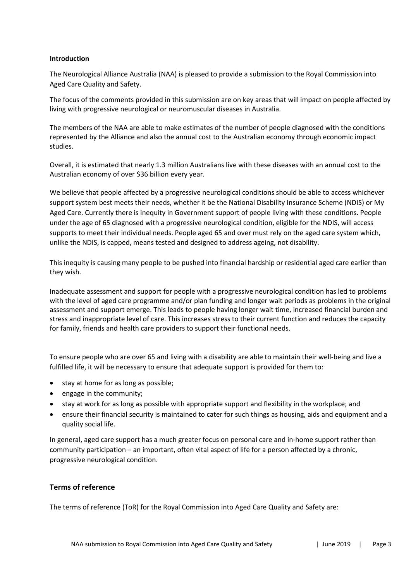#### **Introduction**

The Neurological Alliance Australia (NAA) is pleased to provide a submission to the Royal Commission into Aged Care Quality and Safety.

The focus of the comments provided in this submission are on key areas that will impact on people affected by living with progressive neurological or neuromuscular diseases in Australia.

The members of the NAA are able to make estimates of the number of people diagnosed with the conditions represented by the Alliance and also the annual cost to the Australian economy through economic impact studies.

Overall, it is estimated that nearly 1.3 million Australians live with these diseases with an annual cost to the Australian economy of over \$36 billion every year.

We believe that people affected by a progressive neurological conditions should be able to access whichever support system best meets their needs, whether it be the National Disability Insurance Scheme (NDIS) or My Aged Care. Currently there is inequity in Government support of people living with these conditions. People under the age of 65 diagnosed with a progressive neurological condition, eligible for the NDIS, will access supports to meet their individual needs. People aged 65 and over must rely on the aged care system which, unlike the NDIS, is capped, means tested and designed to address ageing, not disability.

This inequity is causing many people to be pushed into financial hardship or residential aged care earlier than they wish.

Inadequate assessment and support for people with a progressive neurological condition has led to problems with the level of aged care programme and/or plan funding and longer wait periods as problems in the original assessment and support emerge. This leads to people having longer wait time, increased financial burden and stress and inappropriate level of care. This increases stress to their current function and reduces the capacity for family, friends and health care providers to support their functional needs.

To ensure people who are over 65 and living with a disability are able to maintain their well-being and live a fulfilled life, it will be necessary to ensure that adequate support is provided for them to:

- stay at home for as long as possible;
- engage in the community;
- stay at work for as long as possible with appropriate support and flexibility in the workplace; and
- ensure their financial security is maintained to cater for such things as housing, aids and equipment and a quality social life.

In general, aged care support has a much greater focus on personal care and in-home support rather than community participation – an important, often vital aspect of life for a person affected by a chronic, progressive neurological condition.

#### **Terms of reference**

The terms of reference (ToR) for the Royal Commission into Aged Care Quality and Safety are: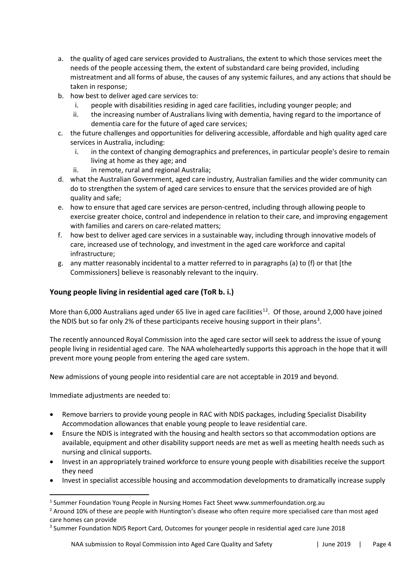- a. the quality of aged care services provided to Australians, the extent to which those services meet the needs of the people accessing them, the extent of substandard care being provided, including mistreatment and all forms of abuse, the causes of any systemic failures, and any actions that should be taken in response;
- b. how best to deliver aged care services to:
	- i. people with disabilities residing in aged care facilities, including younger people; and
	- ii. the increasing number of Australians living with dementia, having regard to the importance of dementia care for the future of aged care services;
- c. the future challenges and opportunities for delivering accessible, affordable and high quality aged care services in Australia, including:
	- i. in the context of changing demographics and preferences, in particular people's desire to remain living at home as they age; and
	- ii. in remote, rural and regional Australia;
- d. what the Australian Government, aged care industry, Australian families and the wider community can do to strengthen the system of aged care services to ensure that the services provided are of high quality and safe;
- e. how to ensure that aged care services are person-centred, including through allowing people to exercise greater choice, control and independence in relation to their care, and improving engagement with families and carers on care-related matters;
- f. how best to deliver aged care services in a sustainable way, including through innovative models of care, increased use of technology, and investment in the aged care workforce and capital infrastructure;
- g. any matter reasonably incidental to a matter referred to in paragraphs (a) to (f) or that [the Commissioners] believe is reasonably relevant to the inquiry.

# **Young people living in residential aged care (ToR b. i.)**

More than 6,000 Australians aged under 65 live in aged care facilities<sup>[1](#page-3-0)[2](#page-3-1)</sup>. Of those, around 2,000 have joined the NDIS but so far only 2% of these participants receive housing support in their plans<sup>[3](#page-3-2)</sup>.

The recently announced Royal Commission into the aged care sector will seek to address the issue of young people living in residential aged care. The NAA wholeheartedly supports this approach in the hope that it will prevent more young people from entering the aged care system.

New admissions of young people into residential care are not acceptable in 2019 and beyond.

Immediate adjustments are needed to:

- Remove barriers to provide young people in RAC with NDIS packages, including Specialist Disability Accommodation allowances that enable young people to leave residential care.
- Ensure the NDIS is integrated with the housing and health sectors so that accommodation options are available, equipment and other disability support needs are met as well as meeting health needs such as nursing and clinical supports.
- Invest in an appropriately trained workforce to ensure young people with disabilities receive the support they need
- Invest in specialist accessible housing and accommodation developments to dramatically increase supply

<span id="page-3-0"></span><sup>&</sup>lt;sup>1</sup> Summer Foundation Young People in Nursing Homes Fact Sheet www.summerfoundation.org.au

<span id="page-3-1"></span><sup>&</sup>lt;sup>2</sup> Around 10% of these are people with Huntington's disease who often require more specialised care than most aged care homes can provide

<span id="page-3-2"></span><sup>&</sup>lt;sup>3</sup> Summer Foundation NDIS Report Card, Outcomes for younger people in residential aged care June 2018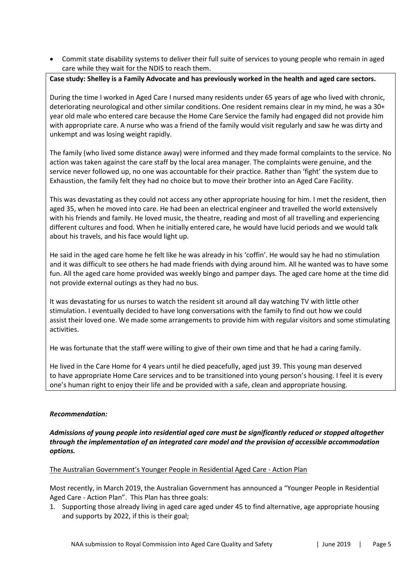• Commit state disability systems to deliver their full suite of services to young people who remain in aged care while they wait for the NDIS to reach them.

#### **Case study: Shelley is a Family Advocate and has previously worked in the health and aged care sectors.**

During the time I worked in Aged Care I nursed many residents under 65 years of age who lived with chronic, deteriorating neurological and other similar conditions. One resident remains clear in my mind, he was a 30+ year old male who entered care because the Home Care Service the family had engaged did not provide him with appropriate care. A nurse who was a friend of the family would visit regularly and saw he was dirty and unkempt and was losing weight rapidly.

The family (who lived some distance away) were informed and they made formal complaints to the service. No action was taken against the care staff by the local area manager. The complaints were genuine, and the service never followed up, no one was accountable for their practice. Rather than 'fight' the system due to Exhaustion, the family felt they had no choice but to move their brother into an Aged Care Facility.

This was devastating as they could not access any other appropriate housing for him. I met the resident, then aged 35, when he moved into care. He had been an electrical engineer and travelled the world extensively with his friends and family. He loved music, the theatre, reading and most of all travelling and experiencing different cultures and food. When he initially entered care, he would have lucid periods and we would talk about his travels, and his face would light up.

He said in the aged care home he felt like he was already in his 'coffin'. He would say he had no stimulation and it was difficult to see others he had made friends with dying around him. All he wanted was to have some fun. All the aged care home provided was weekly bingo and pamper days. The aged care home at the time did not provide external outings as they had no bus.

It was devastating for us nurses to watch the resident sit around all day watching TV with little other stimulation. I eventually decided to have long conversations with the family to find out how we could assist their loved one. We made some arrangements to provide him with regular visitors and some stimulating activities.

He was fortunate that the staff were willing to give of their own time and that he had a caring family.

He lived in the Care Home for 4 years until he died peacefully, aged just 39. This young man deserved to have appropriate Home Care services and to be transitioned into young person's housing. I feel it is every one's human right to enjoy their life and be provided with a safe, clean and appropriate housing.

#### *Recommendation:*

*Admissions of young people into residential aged care must be significantly reduced or stopped altogether through the implementation of an integrated care model and the provision of accessible accommodation options.*

#### The Australian Government's Younger People in Residential Aged Care - Action Plan

Most recently, in March 2019, the Australian Government has announced a "Younger People in Residential Aged Care - Action Plan". This Plan has three goals:

1. Supporting those already living in aged care aged under 45 to find alternative, age appropriate housing and supports by 2022, if this is their goal;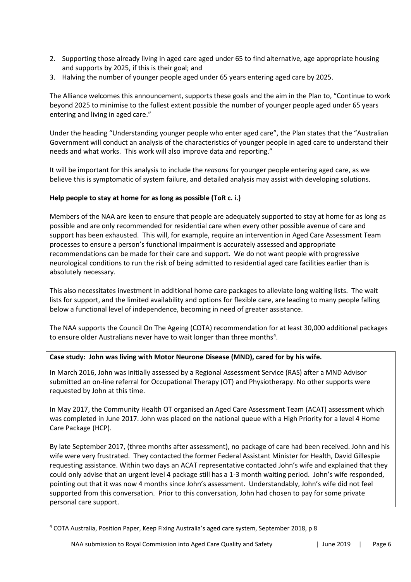- 2. Supporting those already living in aged care aged under 65 to find alternative, age appropriate housing and supports by 2025, if this is their goal; and
- 3. Halving the number of younger people aged under 65 years entering aged care by 2025.

The Alliance welcomes this announcement, supports these goals and the aim in the Plan to, "Continue to work beyond 2025 to minimise to the fullest extent possible the number of younger people aged under 65 years entering and living in aged care."

Under the heading "Understanding younger people who enter aged care", the Plan states that the "Australian Government will conduct an analysis of the characteristics of younger people in aged care to understand their needs and what works. This work will also improve data and reporting."

It will be important for this analysis to include the *reasons* for younger people entering aged care, as we believe this is symptomatic of system failure, and detailed analysis may assist with developing solutions.

# **Help people to stay at home for as long as possible (ToR c. i.)**

Members of the NAA are keen to ensure that people are adequately supported to stay at home for as long as possible and are only recommended for residential care when every other possible avenue of care and support has been exhausted. This will, for example, require an intervention in Aged Care Assessment Team processes to ensure a person's functional impairment is accurately assessed and appropriate recommendations can be made for their care and support. We do not want people with progressive neurological conditions to run the risk of being admitted to residential aged care facilities earlier than is absolutely necessary.

This also necessitates investment in additional home care packages to alleviate long waiting lists. The wait lists for support, and the limited availability and options for flexible care, are leading to many people falling below a functional level of independence, becoming in need of greater assistance.

The NAA supports the Council On The Ageing (COTA) recommendation for at least 30,000 additional packages to ensure older Australians never have to wait longer than three months<sup>[4](#page-5-0)</sup>.

#### **Case study: John was living with Motor Neurone Disease (MND), cared for by his wife.**

In March 2016, John was initially assessed by a Regional Assessment Service (RAS) after a MND Advisor submitted an on-line referral for Occupational Therapy (OT) and Physiotherapy. No other supports were requested by John at this time.

In May 2017, the Community Health OT organised an Aged Care Assessment Team (ACAT) assessment which was completed in June 2017. John was placed on the national queue with a High Priority for a level 4 Home Care Package (HCP).

By late September 2017, (three months after assessment), no package of care had been received. John and his wife were very frustrated. They contacted the former Federal Assistant Minister for Health, David Gillespie requesting assistance. Within two days an ACAT representative contacted John's wife and explained that they could only advise that an urgent level 4 package still has a 1-3 month waiting period. John's wife responded, pointing out that it was now 4 months since John's assessment. Understandably, John's wife did not feel supported from this conversation. Prior to this conversation, John had chosen to pay for some private personal care support.

<span id="page-5-0"></span><sup>4</sup> COTA Australia, Position Paper, Keep Fixing Australia's aged care system, September 2018, p 8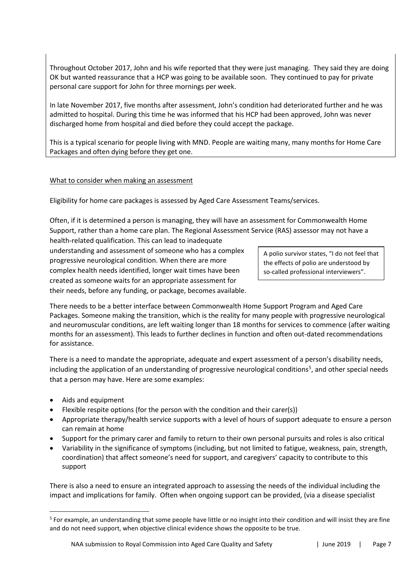Throughout October 2017, John and his wife reported that they were just managing. They said they are doing OK but wanted reassurance that a HCP was going to be available soon. They continued to pay for private personal care support for John for three mornings per week.

In late November 2017, five months after assessment, John's condition had deteriorated further and he was admitted to hospital. During this time he was informed that his HCP had been approved, John was never discharged home from hospital and died before they could accept the package.

This is a typical scenario for people living with MND. People are waiting many, many months for Home Care Packages and often dying before they get one.

# What to consider when making an assessment

Eligibility for home care packages is assessed by Aged Care Assessment Teams/services.

Often, if it is determined a person is managing, they will have an assessment for Commonwealth Home Support, rather than a home care plan. The Regional Assessment Service (RAS) assessor may not have a health-related qualification. This can lead to inadequate

understanding and assessment of someone who has a complex progressive neurological condition. When there are more complex health needs identified, longer wait times have been created as someone waits for an appropriate assessment for their needs, before any funding, or package, becomes available.

A polio survivor states, "I do not feel that the effects of polio are understood by so-called professional interviewers".

There needs to be a better interface between Commonwealth Home Support Program and Aged Care Packages. Someone making the transition, which is the reality for many people with progressive neurological and neuromuscular conditions, are left waiting longer than 18 months for services to commence (after waiting months for an assessment). This leads to further declines in function and often out-dated recommendations for assistance.

There is a need to mandate the appropriate, adequate and expert assessment of a person's disability needs, including the application of an understanding of progressive neurological conditions<sup>[5](#page-6-0)</sup>, and other special needs that a person may have. Here are some examples:

- Aids and equipment
- Flexible respite options (for the person with the condition and their carer(s))
- Appropriate therapy/health service supports with a level of hours of support adequate to ensure a person can remain at home
- Support for the primary carer and family to return to their own personal pursuits and roles is also critical
- Variability in the significance of symptoms (including, but not limited to fatigue, weakness, pain, strength, coordination) that affect someone's need for support, and caregivers' capacity to contribute to this support

There is also a need to ensure an integrated approach to assessing the needs of the individual including the impact and implications for family. Often when ongoing support can be provided, (via a disease specialist

<span id="page-6-0"></span><sup>&</sup>lt;sup>5</sup> For example, an understanding that some people have little or no insight into their condition and will insist they are fine and do not need support, when objective clinical evidence shows the opposite to be true.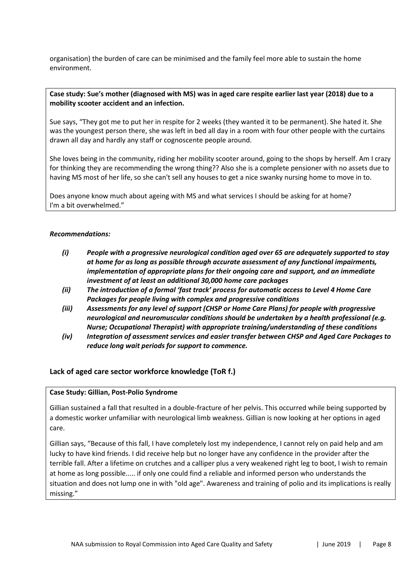organisation) the burden of care can be minimised and the family feel more able to sustain the home environment.

#### **Case study: Sue's mother (diagnosed with MS) was in aged care respite earlier last year (2018) due to a mobility scooter accident and an infection.**

Sue says, "They got me to put her in respite for 2 weeks (they wanted it to be permanent). She hated it. She was the youngest person there, she was left in bed all day in a room with four other people with the curtains drawn all day and hardly any staff or cognoscente people around.

She loves being in the community, riding her mobility scooter around, going to the shops by herself. Am I crazy for thinking they are recommending the wrong thing?? Also she is a complete pensioner with no assets due to having MS most of her life, so she can't sell any houses to get a nice swanky nursing home to move in to.

Does anyone know much about ageing with MS and what services I should be asking for at home? I'm a bit overwhelmed."

#### *Recommendations:*

- *(i) People with a progressive neurological condition aged over 65 are adequately supported to stay at home for as long as possible through accurate assessment of any functional impairments, implementation of appropriate plans for their ongoing care and support, and an immediate investment of at least an additional 30,000 home care packages*
- *(ii) The introduction of a formal 'fast track' process for automatic access to Level 4 Home Care Packages for people living with complex and progressive conditions*
- *(iii) Assessments for any level of support (CHSP or Home Care Plans) for people with progressive neurological and neuromuscular conditions should be undertaken by a health professional (e.g. Nurse; Occupational Therapist) with appropriate training/understanding of these conditions*
- *(iv) Integration of assessment services and easier transfer between CHSP and Aged Care Packages to reduce long wait periods for support to commence.*

#### **Lack of aged care sector workforce knowledge (ToR f.)**

#### **Case Study: Gillian, Post-Polio Syndrome**

Gillian sustained a fall that resulted in a double-fracture of her pelvis. This occurred while being supported by a domestic worker unfamiliar with neurological limb weakness. Gillian is now looking at her options in aged care.

Gillian says, "Because of this fall, I have completely lost my independence, I cannot rely on paid help and am lucky to have kind friends. I did receive help but no longer have any confidence in the provider after the terrible fall. After a lifetime on crutches and a calliper plus a very weakened right leg to boot, I wish to remain at home as long possible..... if only one could find a reliable and informed person who understands the situation and does not lump one in with "old age". Awareness and training of polio and its implications is really missing."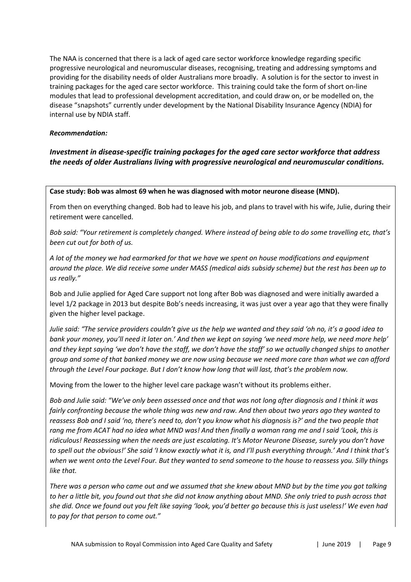The NAA is concerned that there is a lack of aged care sector workforce knowledge regarding specific progressive neurological and neuromuscular diseases, recognising, treating and addressing symptoms and providing for the disability needs of older Australians more broadly. A solution is for the sector to invest in training packages for the aged care sector workforce. This training could take the form of short on-line modules that lead to professional development accreditation, and could draw on, or be modelled on, the disease "snapshots" currently under development by the National Disability Insurance Agency (NDIA) for internal use by NDIA staff.

#### *Recommendation:*

# *Investment in disease-specific training packages for the aged care sector workforce that address the needs of older Australians living with progressive neurological and neuromuscular conditions.*

**Case study: Bob was almost 69 when he was diagnosed with motor neurone disease (MND).**

From then on everything changed. Bob had to leave his job, and plans to travel with his wife, Julie, during their retirement were cancelled.

*Bob said: "Your retirement is completely changed. Where instead of being able to do some travelling etc, that's been cut out for both of us.*

*A lot of the money we had earmarked for that we have we spent on house modifications and equipment around the place. We did receive some under MASS (medical aids subsidy scheme) but the rest has been up to us really."*

Bob and Julie applied for Aged Care support not long after Bob was diagnosed and were initially awarded a level 1/2 package in 2013 but despite Bob's needs increasing, it was just over a year ago that they were finally given the higher level package.

*Julie said: "The service providers couldn't give us the help we wanted and they said 'oh no, it's a good idea to bank your money, you'll need it later on.' And then we kept on saying 'we need more help, we need more help' and they kept saying 'we don't have the staff, we don't have the staff' so we actually changed ships to another group and some of that banked money we are now using because we need more care than what we can afford through the Level Four package. But I don't know how long that will last, that's the problem now.* 

Moving from the lower to the higher level care package wasn't without its problems either.

*Bob and Julie said: "We've only been assessed once and that was not long after diagnosis and I think it was fairly confronting because the whole thing was new and raw. And then about two years ago they wanted to reassess Bob and I said 'no, there's need to, don't you know what his diagnosis is?' and the two people that rang me from ACAT had no idea what MND was! And then finally a woman rang me and I said 'Look, this is ridiculous! Reassessing when the needs are just escalating. It's Motor Neurone Disease, surely you don't have to spell out the obvious!' She said 'I know exactly what it is, and I'll push everything through.' And I think that's when we went onto the Level Four. But they wanted to send someone to the house to reassess you. Silly things like that.*

*There was a person who came out and we assumed that she knew about MND but by the time you got talking*  to her a little bit, you found out that she did not know anything about MND. She only tried to push across that *she did. Once we found out you felt like saying 'look, you'd better go because this is just useless!' We even had to pay for that person to come out."*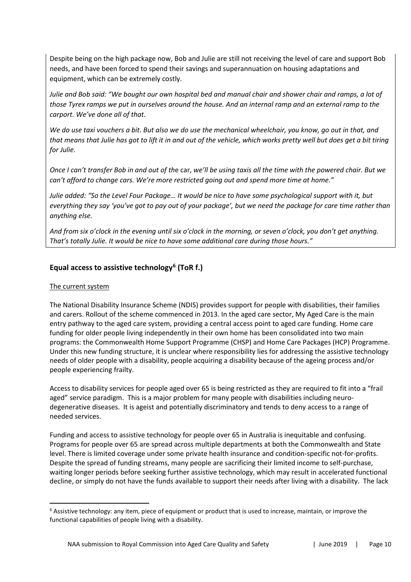Despite being on the high package now, Bob and Julie are still not receiving the level of care and support Bob needs, and have been forced to spend their savings and superannuation on housing adaptations and equipment, which can be extremely costly.

*Julie and Bob said: "We bought our own hospital bed and manual chair and shower chair and ramps, a lot of those Tyrex ramps we put in ourselves around the house. And an internal ramp and an external ramp to the carport. We've done all of that.*

*We do use taxi vouchers a bit. But also we do use the mechanical wheelchair, you know, go out in that, and that means that Julie has got to lift it in and out of the vehicle, which works pretty well but does get a bit tiring for Julie.*

*Once I can't transfer Bob in and out of th*e car, *we'll be using taxis all the time with the powered chair. But we can't afford to change cars. We're more restricted going out and spend more time at home."* 

*Julie added: "So the Level Four Package… It would be nice to have some psychological support with it, but everything they say 'you've got to pay out of your package', but we need the package for care time rather than anything else.*

*And from six o'clock in the evening until six o'clock in the morning, or seven o'clock, you don't get anything. That's totally Julie. It would be nice to have some additional care during those hours."* 

# **Equal access to assistive technology[6](#page-9-0) (ToR f.)**

# The current system

The National Disability Insurance Scheme (NDIS) provides support for people with disabilities, their families and carers. Rollout of the scheme commenced in 2013. In the aged care sector, My Aged Care is the main entry pathway to the aged care system, providing a central access point to aged care funding. Home care funding for older people living independently in their own home has been consolidated into two main programs: the Commonwealth Home Support Programme (CHSP) and Home Care Packages (HCP) Programme. Under this new funding structure, it is unclear where responsibility lies for addressing the assistive technology needs of older people with a disability, people acquiring a disability because of the ageing process and/or people experiencing frailty.

Access to disability services for people aged over 65 is being restricted as they are required to fit into a "frail aged" service paradigm. This is a major problem for many people with disabilities including neurodegenerative diseases. It is ageist and potentially discriminatory and tends to deny access to a range of needed services.

Funding and access to assistive technology for people over 65 in Australia is inequitable and confusing. Programs for people over 65 are spread across multiple departments at both the Commonwealth and State level. There is limited coverage under some private health insurance and condition-specific not-for-profits. Despite the spread of funding streams, many people are sacrificing their limited income to self-purchase, waiting longer periods before seeking further assistive technology, which may result in accelerated functional decline, or simply do not have the funds available to support their needs after living with a disability. The lack

<span id="page-9-0"></span><sup>&</sup>lt;sup>6</sup> Assistive technology: any item, piece of equipment or product that is used to increase, maintain, or improve the functional capabilities of people living with a disability.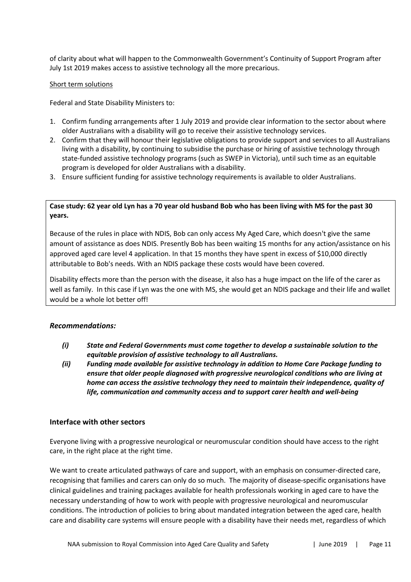of clarity about what will happen to the Commonwealth Government's Continuity of Support Program after July 1st 2019 makes access to assistive technology all the more precarious.

#### Short term solutions

Federal and State Disability Ministers to:

- 1. Confirm funding arrangements after 1 July 2019 and provide clear information to the sector about where older Australians with a disability will go to receive their assistive technology services.
- 2. Confirm that they will honour their legislative obligations to provide support and services to all Australians living with a disability, by continuing to subsidise the purchase or hiring of assistive technology through state-funded assistive technology programs (such as SWEP in Victoria), until such time as an equitable program is developed for older Australians with a disability.
- 3. Ensure sufficient funding for assistive technology requirements is available to older Australians.

# **Case study: 62 year old Lyn has a 70 year old husband Bob who has been living with MS for the past 30 years.**

Because of the rules in place with NDIS, Bob can only access My Aged Care, which doesn't give the same amount of assistance as does NDIS. Presently Bob has been waiting 15 months for any action/assistance on his approved aged care level 4 application. In that 15 months they have spent in excess of \$10,000 directly attributable to Bob's needs. With an NDIS package these costs would have been covered.

Disability effects more than the person with the disease, it also has a huge impact on the life of the carer as well as family. In this case if Lyn was the one with MS, she would get an NDIS package and their life and wallet would be a whole lot better off!

#### *Recommendations:*

- *(i) State and Federal Governments must come together to develop a sustainable solution to the equitable provision of assistive technology to all Australians.*
- *(ii) Funding made available for assistive technology in addition to Home Care Package funding to ensure that older people diagnosed with progressive neurological conditions who are living at home can access the assistive technology they need to maintain their independence, quality of life, communication and community access and to support carer health and well-being*

#### **Interface with other sectors**

Everyone living with a progressive neurological or neuromuscular condition should have access to the right care, in the right place at the right time.

We want to create articulated pathways of care and support, with an emphasis on consumer-directed care, recognising that families and carers can only do so much. The majority of disease-specific organisations have clinical guidelines and training packages available for health professionals working in aged care to have the necessary understanding of how to work with people with progressive neurological and neuromuscular conditions. The introduction of policies to bring about mandated integration between the aged care, health care and disability care systems will ensure people with a disability have their needs met, regardless of which